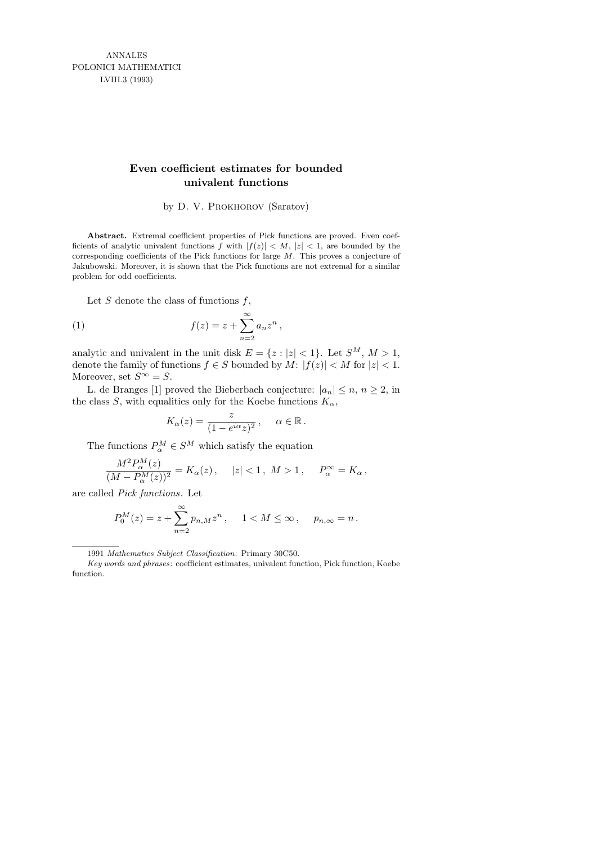ANNALES POLONICI MATHEMATICI LVIII.3 (1993)

## **Even coefficient estimates for bounded univalent functions**

by D. V. PROKHOROV (Saratov)

**Abstract.** Extremal coefficient properties of Pick functions are proved. Even coefficients of analytic univalent functions  $\tilde{f}$  with  $|f(z)| < M$ ,  $|z| < 1$ , are bounded by the corresponding coefficients of the Pick functions for large *M*. This proves a conjecture of Jakubowski. Moreover, it is shown that the Pick functions are not extremal for a similar problem for odd coefficients.

Let  $S$  denote the class of functions  $f$ ,

(1) 
$$
f(z) = z + \sum_{n=2}^{\infty} a_n z^n,
$$

analytic and univalent in the unit disk  $E = \{z : |z| < 1\}$ . Let  $S^M$ ,  $M > 1$ , denote the family of functions  $f \in S$  bounded by  $M: |f(z)| < M$  for  $|z| < 1$ . Moreover, set  $S^{\infty} = S$ .

L. de Branges [1] proved the Bieberbach conjecture:  $|a_n| \leq n, n \geq 2$ , in the class S, with equalities only for the Koebe functions  $K_{\alpha}$ ,

$$
K_{\alpha}(z) = \frac{z}{(1 - e^{i\alpha}z)^2}, \quad \alpha \in \mathbb{R}.
$$

The functions  $P^M_\alpha \in S^M$  which satisfy the equation

$$
\frac{M^2 P_\alpha^M(z)}{(M - P_\alpha^M(z))^2} = K_\alpha(z), \quad |z| < 1, \ M > 1, \quad P_\alpha^\infty = K_\alpha \,,
$$

are called Pick functions. Let

$$
P_0^M(z) = z + \sum_{n=2}^{\infty} p_{n,M} z^n
$$
,  $1 < M \le \infty$ ,  $p_{n,\infty} = n$ .

<sup>1991</sup> *Mathematics Subject Classification*: Primary 30C50.

*Key words and phrases*: coefficient estimates, univalent function, Pick function, Koebe function.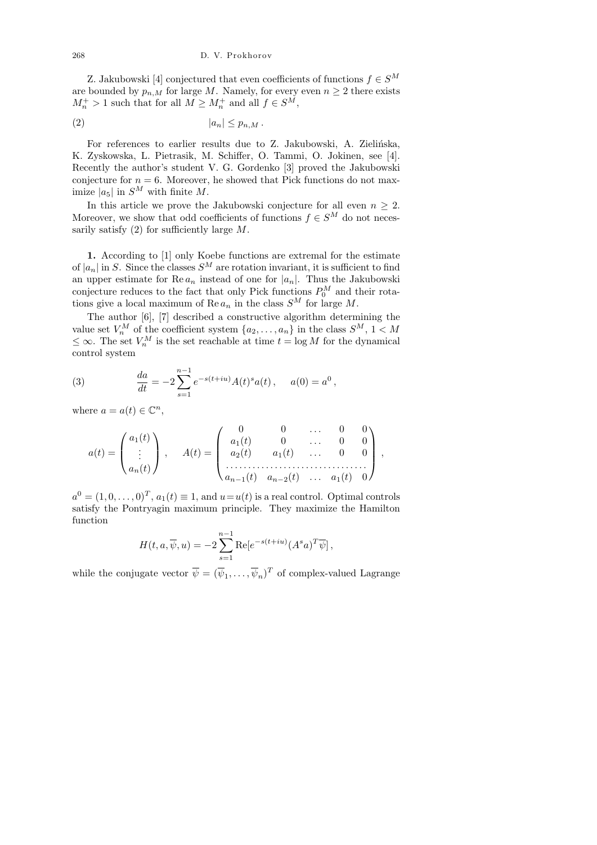Z. Jakubowski [4] conjectured that even coefficients of functions  $f \in S^M$ are bounded by  $p_{n,M}$  for large M. Namely, for every even  $n \geq 2$  there exists  $M_n^+ > 1$  such that for all  $M \geq M_n^+$  and all  $f \in S^M$ ,

$$
(2) \t\t\t |a_n| \le p_{n,M}.
$$

For references to earlier results due to Z. Jakubowski, A. Zielińska, K. Zyskowska, L. Pietrasik, M. Schiffer, O. Tammi, O. Jokinen, see [4]. Recently the author's student V. G. Gordenko [3] proved the Jakubowski conjecture for  $n = 6$ . Moreover, he showed that Pick functions do not maximize  $|a_5|$  in  $S^M$  with finite M.

In this article we prove the Jakubowski conjecture for all even  $n \geq 2$ . Moreover, we show that odd coefficients of functions  $f \in S^M$  do not necessarily satisfy  $(2)$  for sufficiently large  $M$ .

1. According to [1] only Koebe functions are extremal for the estimate of  $|a_n|$  in S. Since the classes  $S^M$  are rotation invariant, it is sufficient to find an upper estimate for  $\text{Re }a_n$  instead of one for  $|a_n|$ . Thus the Jakubowski conjecture reduces to the fact that only Pick functions  $P_0^M$  and their rotations give a local maximum of Re  $a_n$  in the class  $S^M$  for large M.

The author [6], [7] described a constructive algorithm determining the value set  $V_n^M$  of the coefficient system  $\{a_2, \ldots, a_n\}$  in the class  $S^M$ ,  $1 < M$  $\leq \infty$ . The set  $V_n^M$  is the set reachable at time  $t = \log M$  for the dynamical control system

(3) 
$$
\frac{da}{dt} = -2 \sum_{s=1}^{n-1} e^{-s(t+iu)} A(t)^s a(t), \quad a(0) = a^0,
$$

where  $a = a(t) \in \mathbb{C}^n$ ,

$$
a(t) = \begin{pmatrix} a_1(t) \\ \vdots \\ a_n(t) \end{pmatrix}, \quad A(t) = \begin{pmatrix} 0 & 0 & \dots & 0 & 0 \\ a_1(t) & 0 & \dots & 0 & 0 \\ a_2(t) & a_1(t) & \dots & 0 & 0 \\ \dots & \dots & \dots & \dots & \dots \\ a_{n-1}(t) & a_{n-2}(t) & \dots & a_1(t) & 0 \end{pmatrix},
$$

 $a^0 = (1, 0, \ldots, 0)^T, a_1(t) \equiv 1$ , and  $u = u(t)$  is a real control. Optimal controls satisfy the Pontryagin maximum principle. They maximize the Hamilton function

$$
H(t, a, \overline{\psi}, u) = -2 \sum_{s=1}^{n-1} \text{Re}[e^{-s(t+iu)} (A^s a)^T \overline{\psi}],
$$

while the conjugate vector  $\overline{\psi} = (\overline{\psi}_1, \dots, \overline{\psi}_n)^T$  of complex-valued Lagrange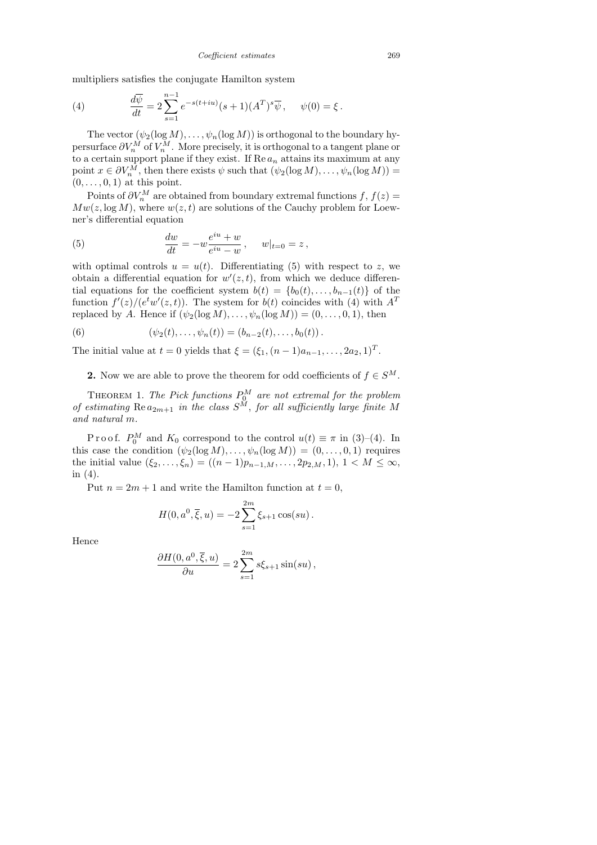multipliers satisfies the conjugate Hamilton system

(4) 
$$
\frac{d\overline{\psi}}{dt} = 2 \sum_{s=1}^{n-1} e^{-s(t+iu)} (s+1) (A^T)^s \overline{\psi}, \quad \psi(0) = \xi.
$$

The vector  $(\psi_2(\log M), \ldots, \psi_n(\log M))$  is orthogonal to the boundary hypersurface  $\partial V_n^M$  of  $V_n^M$ . More precisely, it is orthogonal to a tangent plane or to a certain support plane if they exist. If  $\text{Re }a_n$  attains its maximum at any point  $x \in \partial V_n^M$ , then there exists  $\psi$  such that  $(\psi_2(\log M), \dots, \psi_n(\log M)) =$  $(0, \ldots, 0, 1)$  at this point.

Points of  $\partial V_n^M$  are obtained from boundary extremal functions  $f, f(z) =$  $Mw(z, \log M)$ , where  $w(z, t)$  are solutions of the Cauchy problem for Loewner's differential equation

(5) 
$$
\frac{dw}{dt} = -w \frac{e^{iu} + w}{e^{iu} - w}, \quad w|_{t=0} = z,
$$

with optimal controls  $u = u(t)$ . Differentiating (5) with respect to z, we obtain a differential equation for  $w'(z,t)$ , from which we deduce differential equations for the coefficient system  $b(t) = \{b_0(t), \ldots, b_{n-1}(t)\}\$ of the function  $f'(z)/(e^tw'(z,t))$ . The system for  $b(t)$  coincides with (4) with  $A<sup>T</sup>$ replaced by A. Hence if  $(\psi_2(\log M), \ldots, \psi_n(\log M)) = (0, \ldots, 0, 1)$ , then

(6) 
$$
(\psi_2(t),\ldots,\psi_n(t))=(b_{n-2}(t),\ldots,b_0(t)).
$$

The initial value at  $t = 0$  yields that  $\xi = (\xi_1, (n-1)a_{n-1}, \dots, 2a_2, 1)^T$ .

2. Now we are able to prove the theorem for odd coefficients of  $f \in S^M$ .

THEOREM 1. The Pick functions  $P_0^M$  are not extremal for the problem of estimating  $\text{Re } a_{2m+1}$  in the class  $S^M$ , for all sufficiently large finite M and natural m.

Proof.  $P_0^M$  and  $K_0$  correspond to the control  $u(t) \equiv \pi$  in (3)–(4). In this case the condition  $(\psi_2(\log M), \ldots, \psi_n(\log M)) = (0, \ldots, 0, 1)$  requires the initial value  $(\xi_2, \ldots, \xi_n) = ((n-1)p_{n-1,M}, \ldots, 2p_{2,M}, 1), 1 \leq M \leq \infty$ , in (4).

Put  $n = 2m + 1$  and write the Hamilton function at  $t = 0$ ,

$$
H(0, a^0, \overline{\xi}, u) = -2 \sum_{s=1}^{2m} \xi_{s+1} \cos(su).
$$

Hence

$$
\frac{\partial H(0, a^0, \overline{\xi}, u)}{\partial u} = 2 \sum_{s=1}^{2m} s \xi_{s+1} \sin(su),
$$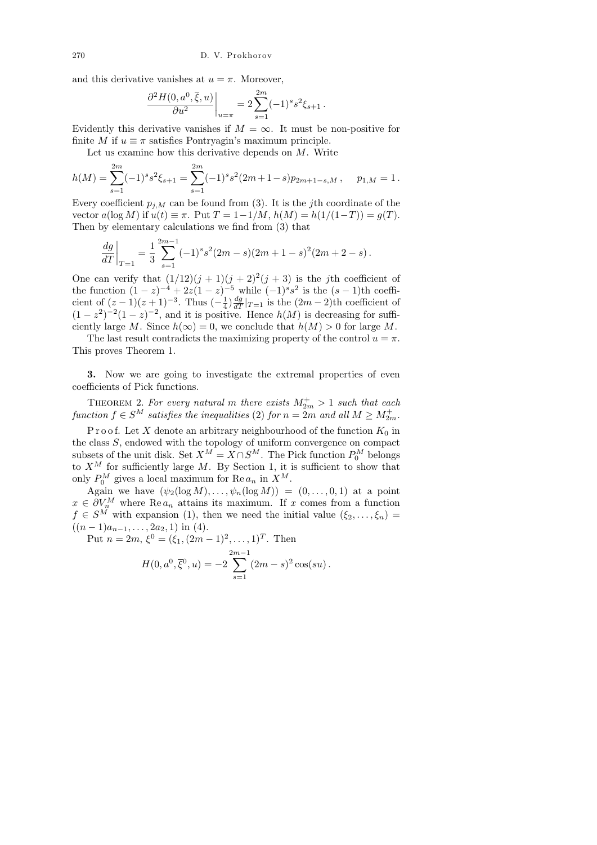and this derivative vanishes at  $u = \pi$ . Moreover,

$$
\left. \frac{\partial^2 H(0, a^0, \overline{\xi}, u)}{\partial u^2} \right|_{u=\pi} = 2 \sum_{s=1}^{2m} (-1)^s s^2 \xi_{s+1}.
$$

Evidently this derivative vanishes if  $M = \infty$ . It must be non-positive for finite M if  $u \equiv \pi$  satisfies Pontryagin's maximum principle.

Let us examine how this derivative depends on  $M$ . Write

$$
h(M) = \sum_{s=1}^{2m} (-1)^s s^2 \xi_{s+1} = \sum_{s=1}^{2m} (-1)^s s^2 (2m+1-s) p_{2m+1-s,M}, \quad p_{1,M} = 1.
$$

Every coefficient  $p_{j,M}$  can be found from (3). It is the jth coordinate of the vector  $a(\log M)$  if  $u(t) \equiv \pi$ . Put  $T = 1-1/M$ ,  $h(M) = h(1/(1-T)) = g(T)$ . Then by elementary calculations we find from (3) that

$$
\frac{dg}{dT}\bigg|_{T=1} = \frac{1}{3} \sum_{s=1}^{2m-1} (-1)^s s^2 (2m-s)(2m+1-s)^2 (2m+2-s).
$$

One can verify that  $(1/12)(j + 1)(j + 2)^2(j + 3)$  is the jth coefficient of the function  $(1-z)^{-4} + 2z(1-z)^{-5}$  while  $(-1)^s s^2$  is the  $(s-1)$ th coefficient of  $(z-1)(z+1)^{-3}$ . Thus  $\left(-\frac{1}{4}\right)$  $\frac{1}{4}$ ) $\frac{dg}{dT}|_{T=1}$  is the  $(2m-2)$ th coefficient of  $(1-z^2)^{-2}(1-z)^{-2}$ , and it is positive. Hence  $h(M)$  is decreasing for sufficiently large M. Since  $h(\infty) = 0$ , we conclude that  $h(M) > 0$  for large M.

The last result contradicts the maximizing property of the control  $u = \pi$ . This proves Theorem 1.

3. Now we are going to investigate the extremal properties of even coefficients of Pick functions.

THEOREM 2. For every natural m there exists  $M_{2m}^+ > 1$  such that each  $function f \in S^M$  satisfies the inequalities (2) for  $n = 2m$  and all  $M \geq M_{2m}^+$ .

P r o o f. Let X denote an arbitrary neighbourhood of the function  $K_0$  in the class S, endowed with the topology of uniform convergence on compact subsets of the unit disk. Set  $X^M = X \cap S^M$ . The Pick function  $P_0^M$  belongs to  $X^M$  for sufficiently large M. By Section 1, it is sufficient to show that only  $P_0^M$  gives a local maximum for Re  $a_n$  in  $X^M$ .

Again we have  $(\psi_2(\log M), \ldots, \psi_n(\log M)) = (0, \ldots, 0, 1)$  at a point  $x \in \partial V_n^M$  where Re  $a_n$  attains its maximum. If x comes from a function  $f \in S^M$  with expansion (1), then we need the initial value  $(\xi_2, \ldots, \xi_n)$  $((n-1)a_{n-1}, \ldots, 2a_2, 1)$  in (4).

Put  $n = 2m$ ,  $\xi^0 = (\xi_1, (2m - 1)^2, \dots, 1)^T$ . Then

$$
H(0, a^{0}, \overline{\xi}^{0}, u) = -2 \sum_{s=1}^{2m-1} (2m - s)^{2} \cos(su).
$$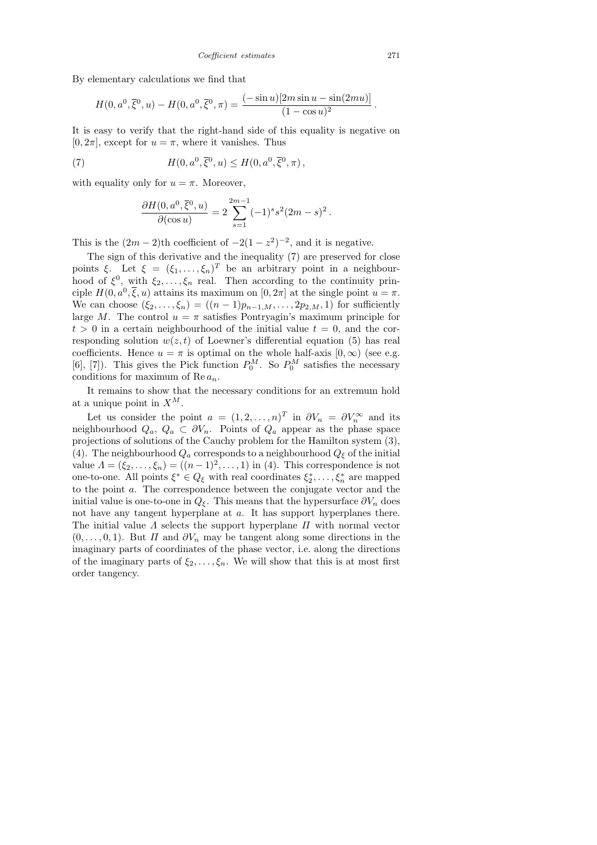By elementary calculations we find that

$$
H(0, a^0, \overline{\xi}^0, u) - H(0, a^0, \overline{\xi}^0, \pi) = \frac{(-\sin u)[2m \sin u - \sin(2mu)]}{(1 - \cos u)^2}
$$

It is easy to verify that the right-hand side of this equality is negative on  $[0, 2\pi]$ , except for  $u = \pi$ , where it vanishes. Thus

(7) 
$$
H(0, a^0, \overline{\xi}^0, u) \le H(0, a^0, \overline{\xi}^0, \pi),
$$

with equality only for  $u = \pi$ . Moreover,

$$
\frac{\partial H(0, a^0, \overline{\xi}^0, u)}{\partial(\cos u)} = 2 \sum_{s=1}^{2m-1} (-1)^s s^2 (2m - s)^2.
$$

This is the  $(2m-2)$ <sup>th</sup> coefficient of  $-2(1-z^2)^{-2}$ , and it is negative.

The sign of this derivative and the inequality (7) are preserved for close points  $\xi$ . Let  $\xi = (\xi_1, \ldots, \xi_n)^T$  be an arbitrary point in a neighbourhood of  $\xi^0$ , with  $\xi_2, \ldots, \xi_n$  real. Then according to the continuity principle  $H(0, a^0, \overline{\xi}, u)$  attains its maximum on  $[0, 2\pi]$  at the single point  $u = \pi$ . We can choose  $(\xi_2, ..., \xi_n) = ((n-1)p_{n-1,M}, ..., 2p_{2,M}, 1)$  for sufficiently large M. The control  $u = \pi$  satisfies Pontryagin's maximum principle for  $t > 0$  in a certain neighbourhood of the initial value  $t = 0$ , and the corresponding solution  $w(z, t)$  of Loewner's differential equation (5) has real coefficients. Hence  $u = \pi$  is optimal on the whole half-axis  $[0, \infty)$  (see e.g. [6], [7]). This gives the Pick function  $P_0^M$ . So  $P_0^M$  satisfies the necessary conditions for maximum of Re $a_n$ .

It remains to show that the necessary conditions for an extremum hold at a unique point in  $X^M$ .

Let us consider the point  $a = (1, 2, ..., n)^T$  in  $\partial V_n = \partial V_n^{\infty}$  and its neighbourhood  $Q_a, Q_a \subset \partial V_n$ . Points of  $Q_a$  appear as the phase space projections of solutions of the Cauchy problem for the Hamilton system (3), (4). The neighbourhood  $Q_a$  corresponds to a neighbourhood  $Q_\xi$  of the initial value  $\Lambda = (\xi_2, \ldots, \xi_n) = ((n-1)^2, \ldots, 1)$  in (4). This correspondence is not one-to-one. All points  $\xi^* \in Q_{\xi}$  with real coordinates  $\xi_2^*, \ldots, \xi_n^*$  are mapped to the point a. The correspondence between the conjugate vector and the initial value is one-to-one in  $Q_{\xi}$ . This means that the hypersurface  $\partial V_n$  does not have any tangent hyperplane at a. It has support hyperplanes there. The initial value  $\Lambda$  selects the support hyperplane  $\Pi$  with normal vector  $(0, \ldots, 0, 1)$ . But  $\Pi$  and  $\partial V_n$  may be tangent along some directions in the imaginary parts of coordinates of the phase vector, i.e. along the directions of the imaginary parts of  $\xi_2, \ldots, \xi_n$ . We will show that this is at most first order tangency.

.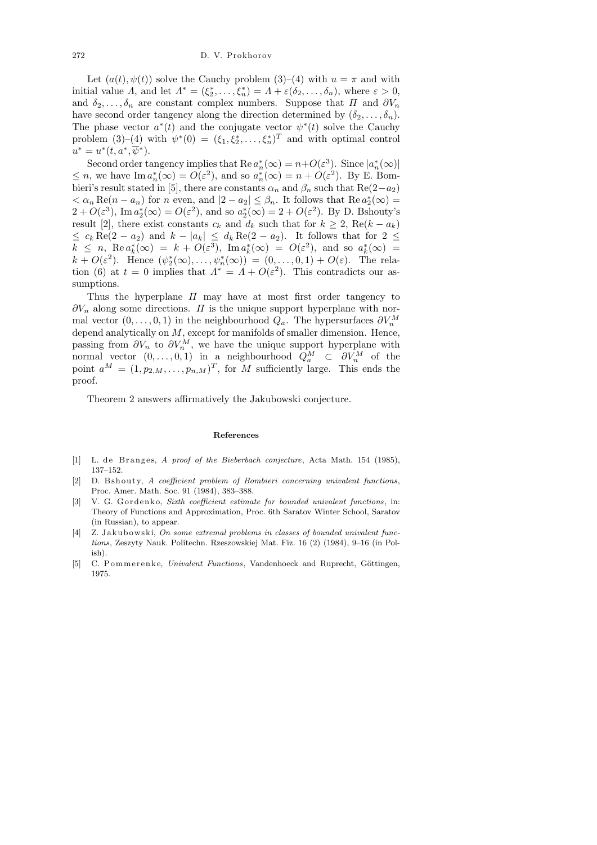Let  $(a(t), \psi(t))$  solve the Cauchy problem  $(3)$ – $(4)$  with  $u = \pi$  and with initial value  $\Lambda$ , and let  $\Lambda^* = (\xi_2^*, \ldots, \xi_n^*) = \Lambda + \varepsilon(\delta_2, \ldots, \delta_n)$ , where  $\varepsilon > 0$ , and  $\delta_2, \ldots, \delta_n$  are constant complex numbers. Suppose that  $\Pi$  and  $\partial V_n$ have second order tangency along the direction determined by  $(\delta_2, \ldots, \delta_n)$ . The phase vector  $a^*(t)$  and the conjugate vector  $\psi^*(t)$  solve the Cauchy problem  $(3)-(4)$  with  $\psi^*(0) = (\xi_1, \xi_2^*, \dots, \xi_n^*)^T$  and with optimal control  $u^* = u^*(t, a^*, \overline{\psi}^*).$ 

Second order tangency implies that  $\text{Re } a_n^*(\infty) = n + O(\varepsilon^3)$ . Since  $|a_n^*(\infty)|$  $\leq n$ , we have  $\text{Im } a_n^*(\infty) = O(\varepsilon^2)$ , and so  $a_n^*(\infty) = n + O(\varepsilon^2)$ . By E. Bombieri's result stated in [5], there are constants  $\alpha_n$  and  $\beta_n$  such that Re(2–a<sub>2</sub>)  $< \alpha_n \text{Re}(n - a_n)$  for n even, and  $|2 - a_2| \leq \beta_n$ . It follows that  $\text{Re } a_2^*(\infty) =$  $2 + O(\varepsilon^3)$ , Im  $a_2^*(\infty) = O(\varepsilon^2)$ , and so  $a_2^*(\infty) = 2 + O(\varepsilon^2)$ . By D. Bshouty's result [2], there exist constants  $c_k$  and  $d_k$  such that for  $k \geq 2$ , Re $(k - a_k)$  $\leq c_k \operatorname{Re}(2 - a_2)$  and  $k - |a_k| \leq d_k \operatorname{Re}(2 - a_2)$ . It follows that for  $2 \leq$  $k \leq n$ ,  $\operatorname{Re} a_k^*(\infty) = k + O(\varepsilon^3)$ ,  $\operatorname{Im} a_k^*(\infty) = O(\varepsilon^2)$ , and so  $a_k^*(\infty) =$  $k + O(\varepsilon^2)$ . Hence  $(\psi_2^*(\infty), \ldots, \psi_n^*(\infty)) = (0, \ldots, 0, 1) + O(\varepsilon)$ . The relation (6) at  $t = 0$  implies that  $\Lambda^* = \Lambda + O(\varepsilon^2)$ . This contradicts our assumptions.

Thus the hyperplane  $\Pi$  may have at most first order tangency to  $\partial V_n$  along some directions.  $\Pi$  is the unique support hyperplane with normal vector  $(0, \ldots, 0, 1)$  in the neighbourhood  $Q_a$ . The hypersurfaces  $\partial V_n^M$ depend analytically on M, except for manifolds of smaller dimension. Hence, passing from  $\partial V_n$  to  $\partial V_n^M$ , we have the unique support hyperplane with normal vector  $(0, \ldots, 0, 1)$  in a neighbourhood  $Q_a^M \subset \partial V_n^M$  of the point  $a^M = (1, p_{2,M}, \ldots, p_{n,M})^T$ , for M sufficiently large. This ends the proof.

Theorem 2 answers affirmatively the Jakubowski conjecture.

## **References**

- [1] L. de Branges, *A proof of the Bieberbach conjecture*, Acta Math. 154 (1985), 137–152.
- [2] D. B shouty, *A coefficient problem of Bombieri concerning univalent functions*, Proc. Amer. Math. Soc. 91 (1984), 383–388.
- [3] V. G. Gordenko, *Sixth coefficient estimate for bounded univalent functions*, in: Theory of Functions and Approximation, Proc. 6th Saratov Winter School, Saratov (in Russian), to appear.
- [4] Z. Jakubowski, *On some extremal problems in classes of bounded univalent functions*, Zeszyty Nauk. Politechn. Rzeszowskiej Mat. Fiz. 16 (2) (1984), 9–16 (in Polish).
- [5] C. Pommerenke, *Univalent Functions*, Vandenhoeck and Ruprecht, Göttingen, 1975.